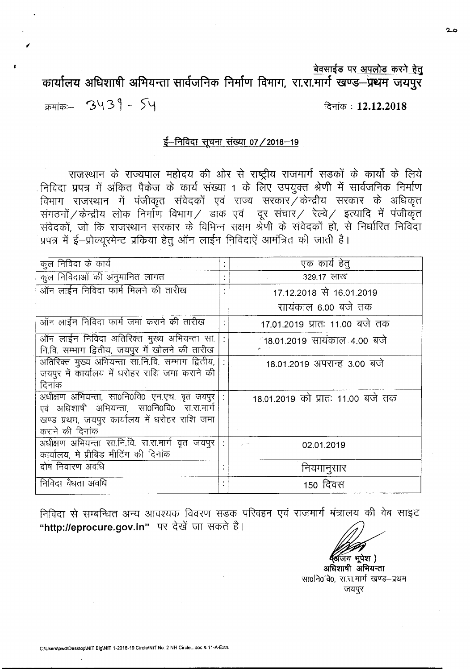बेवसाईड पर अपलोड करने हेतु

कार्यालय अधिशाषी अभियन्ता सार्वजनिक निर्माण विभाग, रा.रा.मार्ग खण्ड-प्रथम जयपुर

क्रमांकः- 3439 - 54

# दिनांक: 12.12.2018

## $\frac{1}{5}$ –निविदा सूचना संख्या 07/2018–19

राजस्थान के राज्यपाल महोदय की ओर से राष्ट्रीय राजमार्ग सड़कों के कार्यो के लिये निविदा प्रपत्र में अंकित पैकेज के कार्य संख्या 1 के लिए उपयुक्त श्रेणी में सार्वजनिक निर्माण विभाग राजस्थान में पंजीकृत संवेदकों एवं राज्य सरकार $\breve{\nearrow}$ केन्द्रीय सरकार के अधिकृत संगठनों / केन्द्रीय लोक निर्माण विभाग / डांक एवं दूर संचार / रेल्वे / इत्यादि में पंजीकृत संवेदकों, जो कि राजस्थान सरकार के विभिन्न सक्षम श्रेणी के संवेदकों हो, से निर्धारित निविदा प्रपत्र में ई-प्रोक्यूरमेन्ट प्रकिया हेतु ऑन लाईन निविदाऐं आमंत्रित की जाती है।

| कूल निविदा के कार्य                                                                                                                                              | $\bullet$<br>$\bullet$ | एक कार्य हेतु                     |
|------------------------------------------------------------------------------------------------------------------------------------------------------------------|------------------------|-----------------------------------|
| कुल निविदाओं की अनुमानित लागत                                                                                                                                    | $\bullet$<br>$\cdot$   | 329.17 लाख                        |
| ऑन लाईन निविदा फार्म मिलने की तारीख                                                                                                                              |                        | 17.12.2018 से 16.01.2019          |
|                                                                                                                                                                  |                        | सायंकाल 6.00 बजे तक               |
| ऑन लाईन निविदा फार्म जमा कराने की तारीख                                                                                                                          |                        | 17.01.2019 प्रातः 11.00 बजे तक    |
| ऑन लाईन निविदा अतिरिक्त मुख्य अभियन्ता सा.<br>नि.वि. सम्भाग द्वितीय, जयपुर में खोलने की तारीख                                                                    | $\ddot{\cdot}$         | 18.01.2019 सायंकाल 4.00 बजे       |
| अतिरिक्त मुख्य अभियन्ता सा.नि.वि. सम्भाग द्वितीय,<br>जयपुर में कार्यालय में धरोहर राशि जमा कराने की<br>दिनांक                                                    |                        | 18.01.2019 अपरान्ह 3.00 बजे       |
| अधीक्षण अभियन्ता, सा0नि0वि0 एन.एच. वृतं जयपुर<br>एवं अधिशाषी अभियन्ता, सा0नि0वि0 रा.रा.मार्ग<br>खण्ड प्रथम, जयपुर कार्यालय में धरोहर राशि जमा<br>कराने की दिनांक |                        | 18.01.2019 को प्रातः 11.00 बजे तक |
| अधीक्षण अभियन्ता सा.नि.वि. रा.रा.मार्ग वृत जयपुर<br>कार्यालय, मे प्रीबिड मीटिंग की दिनांक                                                                        |                        | محالي<br>02.01.2019               |
| दोष निवारण अवधि                                                                                                                                                  |                        | नियमानुसार                        |
| निविदा वैधता अवधि                                                                                                                                                |                        | 150 दिवस                          |

निविदा से सम्बन्धित अन्य आवश्यक विवरण सडक परिवहन एवं राजमार्ग मंत्रालय की वेब साइट "http://eprocure.gov.in" पर देखें जा सकते है।

जय भूपेश ) अधिशाषी अभियन्ता सा0नि0वि0, रा.रा.मार्ग खण्ड–प्रथम जयपुर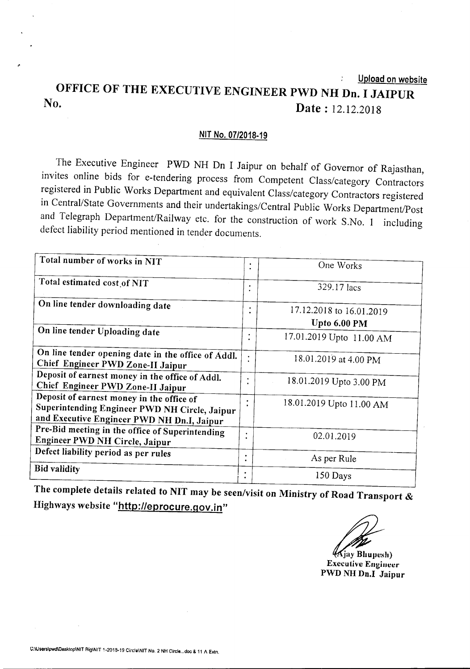#### $\frac{1}{2}$ Upload on website OFFICE OF THE EXECUTIVE ENGINEER PWD NH Dn. I JAIPUR<br>No. Date: 12.12.2018

### NIT No. *07/2018·19*

The Executive Engineer PWD NH Dn I Jaipur on behalf of Governor of Rajasthan, invites online bids for e-tendering process from Competent Class/category Contractors registered in Public Works Department and equivalent Class/category Contractors registered in Central/State Governments and their undertakings/Central Public Works Department/Post and Telegraph Department/Railway etc. for the construction of work S.No. 1 including defect liability period mentioned in tender documents.

| Total number of works in NIT                       | ٠         | One Works                |
|----------------------------------------------------|-----------|--------------------------|
| Total estimated cost of NIT                        |           |                          |
|                                                    |           | 329.17 lacs              |
| On line tender downloading date                    |           |                          |
|                                                    |           | 17.12.2018 to 16.01.2019 |
|                                                    |           | Upto 6.00 PM             |
| On line tender Uploading date                      |           | 17.01.2019 Upto 11.00 AM |
|                                                    |           |                          |
| On line tender opening date in the office of Addl. | $\bullet$ | 18.01.2019 at 4.00 PM    |
| Chief Engineer PWD Zone-II Jaipur                  |           |                          |
| Deposit of earnest money in the office of Addl.    | $\bullet$ | 18.01.2019 Upto 3.00 PM  |
| Chief Engineer PWD Zone-II Jaipur                  |           |                          |
| Deposit of earnest money in the office of          |           | 18.01.2019 Upto 11.00 AM |
| Superintending Engineer PWD NH Circle, Jaipur      |           |                          |
| and Executive Engineer PWD NH Dn.I, Jaipur         |           |                          |
| Pre-Bid meeting in the office of Superintending    |           |                          |
| Engineer PWD NH Circle, Jaipur                     |           | 02.01.2019               |
| Defect liability period as per rules               | ٠         |                          |
|                                                    |           | As per Rule              |
| <b>Bid validity</b>                                |           | 150 Days                 |
|                                                    |           |                          |

The complete details related to NIT may be seen/visit on Ministry of Road Transport & Highways website *''http://eprocure.gov.in''*

(Ajay Bhupesh)

Executive Engineer PWD NH Dn.! Jaipur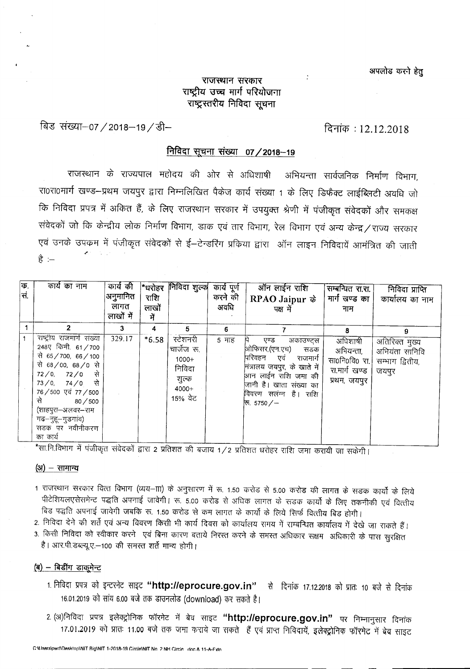अपलोड करने हेतु

## राजस्थान सरकार राष्ट्रीय उच्च मार्ग परियोजना राष्ट्रस्तरीय निविदा सूचना

दिनांक: 12.12.2018

 $\ddot{\cdot}$ 

बिड संख्या-07 / 2018-19 / डी-

# निविदा सूचना संख्या 07/2018-19

राजस्थान के राज्यपाल महोदय की ओर से अधिशाषी अभियन्ता सार्वजनिक निर्माण विभाग, रा0रा0मार्ग खण्ड-प्रथम जयपुर द्वारा निम्नलिखित पैकेज कार्य संख्या 1 के लिए डिफैक्ट लाईब्लिटी अवधि जो कि निविदा प्रपत्र में अकित हैं, के लिए राजस्थान सरकार में उपयुक्त श्रेणी में पंजीकृत संवेदकों और समकक्ष संवेदकों जो कि केन्द्रीय लोक निर्माण विभाग, डाक एवं तार विभाग, रेल विभाग एवं अन्य केन्द्र / राज्य सरकार एवं उनके उपकम में पंजीकृत संवेदकों से ई—टेन्डरिंग प्रकिया द्वारा) ऑन लाइन निविदायें आमंत्रित की जाती ੜੇ :—

| Φ.<br>सं. | कार्य का नाम                                                                                                                                                                                                                                  | कार्य की<br>अनुमानित<br>लागत<br>लाखों में | *धरोहर<br>राशि<br>लाखो<br>ਸੇਂ | <b>निविदा शुल्क</b>                                                       | कार्य पूर्ण<br>करने की<br>अवधि | ऑन लाईन राशि<br>RPAO Jaipur के<br>पक्ष में                                                                                                                                                            | सम्बन्धित रा.रा.  <br>मार्ग खण्ड का  <br>नाम                              | निविदा प्राप्ति<br>कार्यालय का नाम                           |
|-----------|-----------------------------------------------------------------------------------------------------------------------------------------------------------------------------------------------------------------------------------------------|-------------------------------------------|-------------------------------|---------------------------------------------------------------------------|--------------------------------|-------------------------------------------------------------------------------------------------------------------------------------------------------------------------------------------------------|---------------------------------------------------------------------------|--------------------------------------------------------------|
|           |                                                                                                                                                                                                                                               | 3                                         | 4                             | 5                                                                         | -6                             |                                                                                                                                                                                                       | R                                                                         | 9                                                            |
|           | राष्ट्रीय राजमार्ग संख्या<br>248ए किमी 61/700<br>से 65/700, 66/100<br>से 68/00, 68/0 से<br>72/0, 72/0 से<br>$73/0$ , $74/0$ से<br>76/500 एवं 77/500<br>से<br>80 / 500<br>(शाहपुरा—अलवर—राम<br>गढ–नुहू–गुडगांव)<br>सडक पर नवीनीकरण<br>का कार्य | 329.17                                    | $*6.58$                       | स्टेशनरी<br>चार्जेज रू.<br>$1000+$<br>निविदा<br>शुल्क<br>4000+<br>15% ਕੇਟ | 5 माह                          | पि एण्ड<br>अकाउण्ट्स  <br>आ़ेफिसर,(एन.एच) सडक  <br>परिवहन एवं राजमार्ग <br>मित्रालय जयपुर, के खाते में  <br>आन लाईन राशि जमा की<br>जानी है। खाता संख्या का<br>विवरण सलंग्न है। राशि<br>কৈ. 5750 $/$ – | अधिशाषी<br>अभियन्ता,<br>सा0नि0वि0 रा. <br>रा.मार्ग खण्ड  <br>प्रथम, जयपुर | अतिरिक्त मुख्य<br>अभियंता सानिवि<br>सम्भाग द्वितीय,<br>जयपुर |

\*सा.नि.विभाग में पंजीकृत संवेदकों द्वारा 2 प्रतिशत की बजाय 1/2 प्रतिशत धरोहर राशि जमा करायी जा सकेगी।

### $(3i)$  – सामान्य

- 1 राजस्थान सरकार वित्त विभाग (व्यय–III) के अनुसारण में रू. 1.50 करोड से 5.00 करोड की लागत के सडक कार्यो के लिये पीटेशियलएसेसमेन्ट पद्धति अपनाई जावेगी। रू. 5.00 करोड से अधिक लागत के सडक कार्यों के लिए तकनीकी एवं वित्तीय बिड पद्धति अपनाई जावेगी जबकि रू. 1.50 करोड से कम लागत के कार्यों के लिये सिर्फ वित्तीय बिड होगी।
- 2. निविदा देने की शर्ते एवं अन्य विवरण किसी भी कार्य दिवस को कार्यालय समय में राम्बन्धित कार्यालय में देखे जा राकते हैं।
- 3. किसी निविदा को स्वीकार करने एवं बिना कारण बताये निरस्त करने के समस्त अधिकार सक्षम अधिकारी के पास सुरक्षित है। आर.पी.डब्ल्यू.ए.–100 की समस्त शर्ते मान्य होगी।

#### (ब) - बिडींग डाकूमेन्ट

- 1. निविदा प्रपत्र को इन्टरनेट साइट "http://eprocure.gov.in" से दिनांक 17.12.2018 को प्रातः 10 बजे से दिनांक 16.01.2019 को सांय 6.00 बजे तक डाउनलोड (download) कर सकते है।
- 2. (अ)निविदा प्रपत्र इलेक्ट्रोनिक फॉरमेट में बेव साइट **"http://eprocure.gov.in"** पर निम्नानुसार दिनांक 17.01.2019 को प्रातः 11.00 बजे तक जमा कराये जा सकते हैं एवं प्राप्त निविदायें, इलेक्ट्रोनिक फॉरमेट में बेव साइट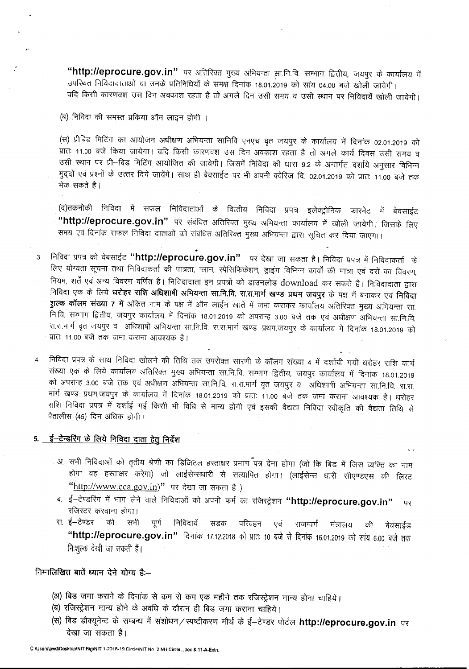"http://eprocure.gov.in" पर अतिरिक्त मुख्य अभियन्ता सा.नि.वि. सम्भाग द्वितीय, जयपुर के कार्यालय में उपस्थित निविदादाताओं या उनके प्रतिनिधियों के समक्ष दिनांक 18.01.2019 को सांय 04.00 बजे खोली जायेगी। यदि किशी कारणवश उस दिन अवकाश रहता है तो अगले दिन उसी समय व उसी स्थान पर निविदायें खोली जायेगी।

(व) निविदा की समस्त प्रकिया ऑन लाइन होगी ।

(स) प्रीबिड मिटिंग का आयोजन अधीक्षण अभियन्ता सानिवि एनएच वृत जयपुर के कार्यालय में दिनांक 02.01.2019 को प्रातः 11.00 बजे किया जायेगा। यदि किसी कारणवश उस दिन अवकाश रहता है तो अगले कार्य दिवस उसी समय व उसी स्थान पर प्री-बिड मिटिंग आयोजित की जावेगी। जिसमें निविदा की धारा 9.2 के अन्तर्गत दर्शाये अनुसार विभिन्न मुददों एवं प्रश्नों के उत्तर दिये जावेंगे। साथ ही बेवसाईट पर भी अपनी क्वेरिज दि. 02.01.2019 को प्रातः 11.00 बजे तक भेज सकते है।

(द)तंकनीकी निविदा में सफल निविदाताओं के वित्तीय निविदा प्रपत्र इलेक्ट्रोनिक फारमेट में बेवसाईट "http://eprocure.gov.in" पर संबंधित अतिरिक्त मुख्य अभियन्ता कार्यालय में खोली जायेगी। जिसके लिए समय एवं दिनांक सफल निविदा दाताओं को संबंधित अतिरिक्त मुख्य अभियन्ता द्वारा सूचित कर दिया जाएगा।

निविदा प्रपत्र को वेबसाईट "http://eprocure.gov.in" पर देखा जा सकता है। निविदा प्रपत्र में निविदाकर्ता के  $\overline{3}$ लिए योग्यता सूचना तथा निविदाकर्ता की पात्रता, प्लान, स्पेसिफिकेशन, ड्राइंग विभिन्न कार्यों की मात्रा एवं दरों का विवरण, नियम, शर्तें एवं अन्य विवरण वर्णित है। निविदादाता इन प्रपत्रों को डाउनलोड download कर सकते है। निविदादाता द्वारा निविदा एक के लिये धरोहर राशि अधिशाषी अभियन्ता सा.नि.वि. रा.रा.मार्ग खण्ड प्रथम जयपुर के पक्ष में बनाकर एवं निविदा **र्गुल्क कॉलम संख्या 7 में** अंकित नाम के पक्ष में ऑन लाईन खाते में जमा कराकर कार्यालय अतिरिक्त मुख्य अभियन्ता सा. नि.वि. सम्भाग द्वितीय, जयपुर कार्यालय में दिनांक 18.01.2019 को अपरान्ह 3.00 बजे तक एवं अधीक्षण अभियन्ता सा.नि.वि. रा.रा.मार्ग वृत जयपुर व अधिशाषी अभियन्ता सा.नि.वि. रा.रा.मार्ग खण्ड–प्रथम,जयपुर के कार्यालय में दिनांक 18.01.2019 को प्रातः 11.00 बजे तक जमा कराना आवश्यक है।

निविदा प्रपत्र के साथ निविदा खोलने की तिथि तक उपरोक्त सारणी के कॉलम संख्या 4 में दर्शायी गयी धरोहर राशि कार्य  $\overline{4}$ संख्या एक के लिये कार्यालय अतिरिक्त मुख्य अभियन्ता सा.नि.वि. सम्भाग द्वितीय, जयपुर कार्यालय में दिनांक 18.01.2019 को अपरान्ह 3.00 बजे तक एवं अधीक्षण अभियन्ता सा.नि.वि. रा.रा.मार्ग वृत जयपुर व अधिशाषी अभियन्ता सा.नि.वि. रा.रा. मार्ग खण्ड–प्रथम,जयपुर के कार्यालय में दिनांक 18.01.2019 को प्रातः 11.00 बजे तक जमा कराना आवश्यक है। धरोहर राशि निविदा प्रपत्र में दर्शाई गई किसी भी विधि से मान्य होगी एवं इसकी वैद्यता निविदा स्वीकृति की वैद्यता तिथि से पैतालीस (45) दिन अधिक होगी।

#### 5. <u>ई-टेन्डरिंग के लिये निविदा दाता हेतु</u> निर्देश

- अ. सभी निविदाओं को तृतीय श्रेणी का डिजिटल हस्ताक्षर प्रमाण पत्र देना होगा (जो कि बिड में जिस व्यक्ति का नाम होगा वह हस्ताक्षर करेगा) जो लाईसेन्सधारी से सत्यापित होगा। (लाईसेन्स धारी सीएण्डएस की लिस्ट "http://www.cca.gov.in)" पर देखा जा सकता है।)
- ब. ई-टेण्डरिंग में भाग लेने वाले निविदाओं को अपनी फर्म का रजिस्ट्रेशन **"http://eprocure.gov.in"** पर रजिस्टर करवाना होगा।
- स. ई–टेण्डर की सभी पूर्ण निविदायें सडक परिवहन एवं राजमार्ग मंत्रालय बेवसाईड की "http://eprocure.gov.in" दिनांक 17.12.2018 को प्रातः 10 बजे से दिनांक 16.01.2019 को सांय 6.00 बजे तक निःशुल्क देखी जा सकती हैं।

निमालिखित बातें ध्यान देने योग्य है:-

- (अ) बिड जमा कराने के दिनांक से कम से कम एक महीने तक रजिस्ट्रेशन मान्य होना चाहिये।
- (ब) रजिस्ट्रेशन मान्य होने के अवधि के दौरान ही बिड जमा कराना चाहिये।
- (स) बिड डौक्यूमेन्ट के सम्बन्ध में संशोधन / स्पष्टीकरण मौर्थ के ई-टेण्डर पोर्टल http://eprocure.gov.in पर देखा जा सकता है।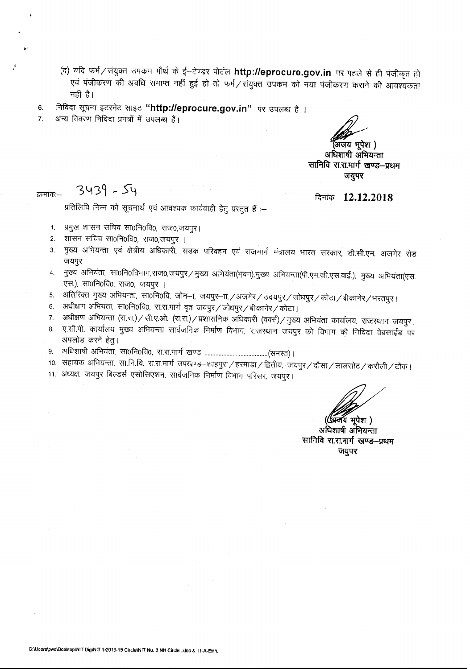- (द) यदि फर्म/संयुक्त सपक्रम मौर्थ के ई-टेण्डर पोर्टल http://eprocure.gov.in पर पहले से ही पंजीकृत हो एवं पंजीकरण की अवधि समाप्त नहीं हुई हो तो फर्म/संयुक्त उपकम को नया पंजीकरण कराने की आवश्यकता नहीं है।
- निविदा सूचना इटरनेट साइट "http://eprocure.gov.in" पर उपलब्ध है । 6.
- अन्य विवरण निविदा प्रपत्रों में उपलब्ध हैं।  $\overline{7}$ .

अिजय भपेश )

अधिशाषी अभियन्ता सानिवि रा.रा.मार्ग खण्ड—प्रथम जयूपर

 $3439 - 54$ क्रमांक:—

दिनांक 12.12.2018

प्रतिलिपि निम्न को सूचनार्थ एवं आवश्यक कार्यवाही हेतु प्रस्तुत हैं :-

- 1. प्रमुख शासन सचिव सा0नि0वि0, राज0,जयपुर।
- 2. शासन सचिव सा0नि0वि0, राज0,जयपुर ।
- मुख्य अभियन्ता एवं क्षेत्रीय अधिकारी, सडक परिवहन एवं राजमार्ग मंत्रालय भारत सरकार, डी.सी.एम. अजमेर रोड  $3<sup>1</sup>$ जयपुर।
- 4. मुख्य अभियंता, सा0नि0विभाग,राज0,जयपुर/मुख्य अभियंता(भवन),मुख्य अभियन्ता(पी.एम.जी.एस.वाई.), मुख्य अभियंता(एस. एस.), सा0नि0वि0, राज0, जयपुर ।
- अतिरिक्तं मुख्यं अभियन्ता, साoनिoवि, जोन–ा, जयपुर–ाा, ⁄अजमेर ⁄ उदयपुर ⁄ जोधपुर ⁄ कोटा ⁄ बीकानेर ⁄ भरतपुर ।  $5.$
- 6. अधीक्षण अभियंता, सा0नि0वि0, रा.रा.मार्ग वृत जयपुर/जोधपुर/बीकानेर/कोटा।
- ७. अधीक्षण अभियन्ता (रा.रा.)/सी.ए.ओ. (रा.रा.)/प्रशासनिक अधिकारी (वर्क्स)/मुख्य अभियंता कार्यालय, राजस्थान जयपुर।
- 8. ए.सी.पी. कार्यालय मुख्य अभियन्ता सार्वजनिक निर्माण विभाग, राजस्थान जयपुर को विभाग की निविदा वेबसाईड पर अपलोड करने हेत्।
- 
- 10. सहायक अभियन्ता, सा.नि.वि. रा.रा.मार्ग उपखण्ड—शाहपुरा/हरमाडा/द्वितीय, जयपुर/दौसा/लालसोट/करौली/टोंक।
- 11. अध्यक्ष, जयपुर बिल्डर्स एसोसिएशन, सार्वजनिक निर्माण विभाग परिसर, जयपुर।

र्लय भूपेश ) अधिशाषी अभियन्ता सानिवि रा.रा.मार्ग खण्ड–प्रथम जयुपर